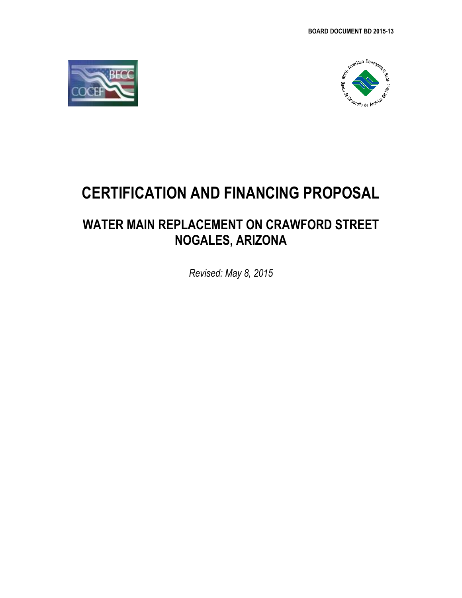



# **CERTIFICATION AND FINANCING PROPOSAL**

## **WATER MAIN REPLACEMENT ON CRAWFORD STREET NOGALES, ARIZONA**

*Revised: May 8, 2015*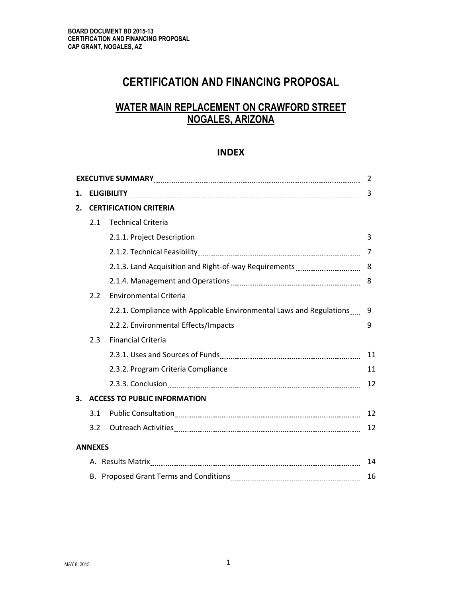## **CERTIFICATION AND FINANCING PROPOSAL**

## **WATER MAIN REPLACEMENT ON CRAWFORD STREET NOGALES, ARIZONA**

#### **INDEX**

|    |                                     |                                                                                                                | 2  |  |  |
|----|-------------------------------------|----------------------------------------------------------------------------------------------------------------|----|--|--|
| 1. | 3                                   |                                                                                                                |    |  |  |
| 2. | <b>CERTIFICATION CRITERIA</b>       |                                                                                                                |    |  |  |
|    | 2.1                                 | <b>Technical Criteria</b>                                                                                      |    |  |  |
|    |                                     |                                                                                                                |    |  |  |
|    |                                     |                                                                                                                |    |  |  |
|    |                                     |                                                                                                                |    |  |  |
|    |                                     |                                                                                                                | 8  |  |  |
|    | 2.2                                 | <b>Environmental Criteria</b>                                                                                  |    |  |  |
|    |                                     | 2.2.1. Compliance with Applicable Environmental Laws and Regulations 9                                         |    |  |  |
|    |                                     |                                                                                                                | 9  |  |  |
|    | 2.3                                 | <b>Financial Criteria</b>                                                                                      |    |  |  |
|    |                                     |                                                                                                                | 11 |  |  |
|    |                                     | 2.3.2. Program Criteria Compliance [11, 2010] The Case of Program Criteria Compliance [11, 2010] The Case of P | 11 |  |  |
|    |                                     |                                                                                                                | 12 |  |  |
| 3. | <b>ACCESS TO PUBLIC INFORMATION</b> |                                                                                                                |    |  |  |
|    | 3.1                                 |                                                                                                                | 12 |  |  |
|    | 3.2                                 |                                                                                                                | 12 |  |  |
|    | <b>ANNEXES</b>                      |                                                                                                                |    |  |  |
|    |                                     |                                                                                                                | 14 |  |  |
|    |                                     |                                                                                                                | 16 |  |  |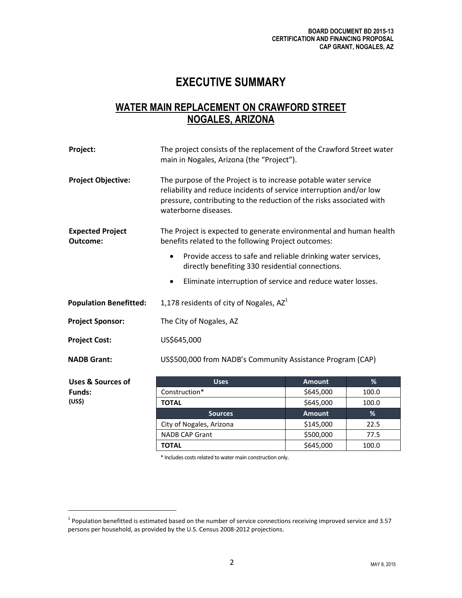## **EXECUTIVE SUMMARY**

## **WATER MAIN REPLACEMENT ON CRAWFORD STREET NOGALES, ARIZONA**

| Project:                            | The project consists of the replacement of the Crawford Street water<br>main in Nogales, Arizona (the "Project").                                                                                                                      |               |       |  |  |
|-------------------------------------|----------------------------------------------------------------------------------------------------------------------------------------------------------------------------------------------------------------------------------------|---------------|-------|--|--|
| <b>Project Objective:</b>           | The purpose of the Project is to increase potable water service<br>reliability and reduce incidents of service interruption and/or low<br>pressure, contributing to the reduction of the risks associated with<br>waterborne diseases. |               |       |  |  |
| <b>Expected Project</b><br>Outcome: | The Project is expected to generate environmental and human health<br>benefits related to the following Project outcomes:                                                                                                              |               |       |  |  |
|                                     | Provide access to safe and reliable drinking water services,<br>$\bullet$<br>directly benefiting 330 residential connections.                                                                                                          |               |       |  |  |
|                                     | Eliminate interruption of service and reduce water losses.<br>٠                                                                                                                                                                        |               |       |  |  |
| <b>Population Benefitted:</b>       | 1,178 residents of city of Nogales, AZ <sup>1</sup>                                                                                                                                                                                    |               |       |  |  |
| <b>Project Sponsor:</b>             | The City of Nogales, AZ                                                                                                                                                                                                                |               |       |  |  |
| <b>Project Cost:</b>                | US\$645,000                                                                                                                                                                                                                            |               |       |  |  |
| <b>NADB Grant:</b>                  | US\$500,000 from NADB's Community Assistance Program (CAP)                                                                                                                                                                             |               |       |  |  |
| <b>Uses &amp; Sources of</b>        | <b>Uses</b>                                                                                                                                                                                                                            | <b>Amount</b> | %     |  |  |
| <b>Funds:</b>                       | Construction*                                                                                                                                                                                                                          | \$645,000     | 100.0 |  |  |

Construction\* 100.0 **TOTAL** 5645,000 100.0 **Sources Amount %** City of Nogales, Arizona  $\vert$  \$145,000  $\vert$  22.5 NADB CAP Grant  $\begin{array}{|c|c|c|c|c|} \hline \text{NADB CAP Grant} & \text{5500,000} & \text{77.5} \hline \end{array}$ **TOTAL 100.0 100.0** 

\* Includes costs related to water main construction only.

**(US\$)**

 $\overline{\phantom{a}}$ 

 $1$  Population benefitted is estimated based on the number of service connections receiving improved service and 3.57 persons per household, as provided by the U.S. Census 2008-2012 projections.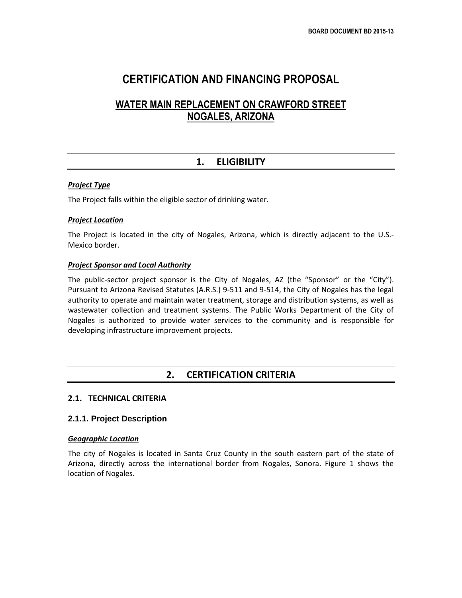## **CERTIFICATION AND FINANCING PROPOSAL**

## **WATER MAIN REPLACEMENT ON CRAWFORD STREET NOGALES, ARIZONA**

## **1. ELIGIBILITY**

#### *Project Type*

The Project falls within the eligible sector of drinking water.

#### *Project Location*

The Project is located in the city of Nogales, Arizona, which is directly adjacent to the U.S.- Mexico border.

#### *Project Sponsor and Local Authority*

The public-sector project sponsor is the City of Nogales, AZ (the "Sponsor" or the "City"). Pursuant to Arizona Revised Statutes (A.R.S.) 9-511 and 9-514, the City of Nogales has the legal authority to operate and maintain water treatment, storage and distribution systems, as well as wastewater collection and treatment systems. The Public Works Department of the City of Nogales is authorized to provide water services to the community and is responsible for developing infrastructure improvement projects.

#### **2. CERTIFICATION CRITERIA**

#### **2.1. TECHNICAL CRITERIA**

#### **2.1.1. Project Description**

#### *Geographic Location*

The city of Nogales is located in Santa Cruz County in the south eastern part of the state of Arizona, directly across the international border from Nogales, Sonora. Figure 1 shows the location of Nogales.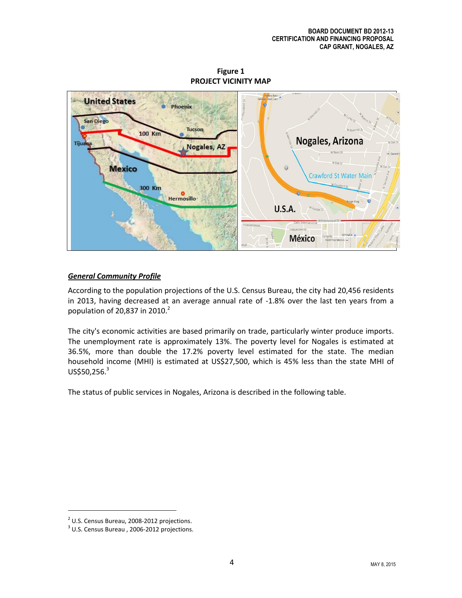**Figure 1 PROJECT VICINITY MAP**



#### *General Community Profile*

According to the population projections of the U.S. Census Bureau, the city had 20,456 residents in 2013, having decreased at an average annual rate of -1.8% over the last ten years from a population of 20,837 in 2010. $^2$ 

The city's economic activities are based primarily on trade, particularly winter produce imports. The unemployment rate is approximately 13%. The poverty level for Nogales is estimated at 36.5%, more than double the 17.2% poverty level estimated for the state. The median household income (MHI) is estimated at US\$27,500, which is 45% less than the state MHI of  $US$50,256.<sup>3</sup>$ 

The status of public services in Nogales, Arizona is described in the following table.

 $\overline{\phantom{a}}$ 

 $2$  U.S. Census Bureau, 2008-2012 projections.

<sup>&</sup>lt;sup>3</sup> U.S. Census Bureau, 2006-2012 projections.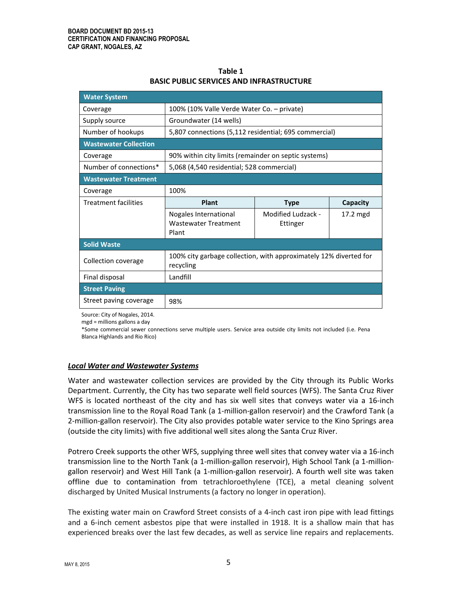| Table 1                                         |
|-------------------------------------------------|
| <b>BASIC PUBLIC SERVICES AND INFRASTRUCTURE</b> |

| <b>Water System</b>                                                 |                                                                                |                                |          |  |  |  |
|---------------------------------------------------------------------|--------------------------------------------------------------------------------|--------------------------------|----------|--|--|--|
| Coverage                                                            | 100% (10% Valle Verde Water Co. - private)                                     |                                |          |  |  |  |
| Supply source                                                       | Groundwater (14 wells)                                                         |                                |          |  |  |  |
| Number of hookups                                                   | 5,807 connections (5,112 residential; 695 commercial)                          |                                |          |  |  |  |
| <b>Wastewater Collection</b>                                        |                                                                                |                                |          |  |  |  |
| Coverage                                                            | 90% within city limits (remainder on septic systems)                           |                                |          |  |  |  |
| Number of connections*<br>5,068 (4,540 residential; 528 commercial) |                                                                                |                                |          |  |  |  |
| <b>Wastewater Treatment</b>                                         |                                                                                |                                |          |  |  |  |
| Coverage                                                            | 100%                                                                           |                                |          |  |  |  |
| Treatment facilities                                                | Plant                                                                          | <b>Type</b>                    | Capacity |  |  |  |
|                                                                     | Nogales International<br><b>Wastewater Treatment</b><br>Plant                  | Modified Ludzack -<br>Ettinger | 17.2 mgd |  |  |  |
| <b>Solid Waste</b>                                                  |                                                                                |                                |          |  |  |  |
| <b>Collection coverage</b>                                          | 100% city garbage collection, with approximately 12% diverted for<br>recycling |                                |          |  |  |  |
| Final disposal                                                      | Landfill                                                                       |                                |          |  |  |  |
| <b>Street Paving</b>                                                |                                                                                |                                |          |  |  |  |
|                                                                     |                                                                                |                                |          |  |  |  |

Source: City of Nogales, 2014.

mgd = millions gallons a day

\*Some commercial sewer connections serve multiple users. Service area outside city limits not included (i.e. Pena Blanca Highlands and Rio Rico)

#### *Local Water and Wastewater Systems*

Water and wastewater collection services are provided by the City through its Public Works Department. Currently, the City has two separate well field sources (WFS). The Santa Cruz River WFS is located northeast of the city and has six well sites that conveys water via a 16-inch transmission line to the Royal Road Tank (a 1-million-gallon reservoir) and the Crawford Tank (a 2-million-gallon reservoir). The City also provides potable water service to the Kino Springs area (outside the city limits) with five additional well sites along the Santa Cruz River.

Potrero Creek supports the other WFS, supplying three well sites that convey water via a 16-inch transmission line to the North Tank (a 1-million-gallon reservoir), High School Tank (a 1-milliongallon reservoir) and West Hill Tank (a 1-million-gallon reservoir). A fourth well site was taken offline due to contamination from tetrachloroethylene (TCE), a metal cleaning solvent discharged by United Musical Instruments (a factory no longer in operation).

The existing water main on Crawford Street consists of a 4-inch cast iron pipe with lead fittings and a 6-inch cement asbestos pipe that were installed in 1918. It is a shallow main that has experienced breaks over the last few decades, as well as service line repairs and replacements.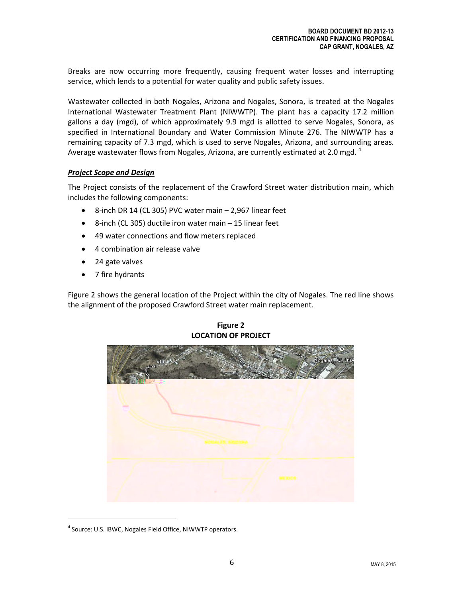Breaks are now occurring more frequently, causing frequent water losses and interrupting service, which lends to a potential for water quality and public safety issues.

Wastewater collected in both Nogales, Arizona and Nogales, Sonora, is treated at the Nogales International Wastewater Treatment Plant (NIWWTP). The plant has a capacity 17.2 million gallons a day (mgd), of which approximately 9.9 mgd is allotted to serve Nogales, Sonora, as specified in International Boundary and Water Commission Minute 276. The NIWWTP has a remaining capacity of 7.3 mgd, which is used to serve Nogales, Arizona, and surrounding areas. Average wastewater flows from Nogales, Arizona, are currently estimated at 2.0 mgd.  $^4$ 

#### *Project Scope and Design*

The Project consists of the replacement of the Crawford Street water distribution main, which includes the following components:

- 8-inch DR 14 (CL 305) PVC water main 2,967 linear feet
- 8-inch (CL 305) ductile iron water main 15 linear feet
- 49 water connections and flow meters replaced
- 4 combination air release valve
- 24 gate valves
- 7 fire hydrants

Figure 2 shows the general location of the Project within the city of Nogales. The red line shows the alignment of the proposed Crawford Street water main replacement.



**Figure 2 LOCATION OF PROJECT**

l

<sup>&</sup>lt;sup>4</sup> Source: U.S. IBWC, Nogales Field Office, NIWWTP operators.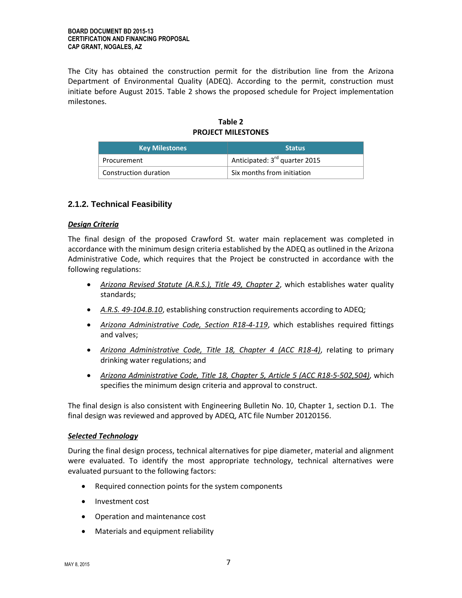The City has obtained the construction permit for the distribution line from the Arizona Department of Environmental Quality (ADEQ). According to the permit, construction must initiate before August 2015. Table 2 shows the proposed schedule for Project implementation milestones.

#### **Table 2 PROJECT MILESTONES**

| <b>Key Milestones</b> | <b>Status</b>                             |  |  |
|-----------------------|-------------------------------------------|--|--|
| Procurement           | Anticipated: $3^{\text{rd}}$ quarter 2015 |  |  |
| Construction duration | Six months from initiation                |  |  |

#### **2.1.2. Technical Feasibility**

#### *Design Criteria*

The final design of the proposed Crawford St. water main replacement was completed in accordance with the minimum design criteria established by the ADEQ as outlined in the Arizona Administrative Code, which requires that the Project be constructed in accordance with the following regulations:

- *Arizona Revised Statute (A.R.S.), Title 49, Chapter 2*, which establishes water quality standards;
- *A.R.S. 49-104.B.10*, establishing construction requirements according to ADEQ;
- *Arizona Administrative Code, Section R18-4-119*, which establishes required fittings and valves;
- *Arizona Administrative Code, Title 18, Chapter 4 (ACC R18-4)*, relating to primary drinking water regulations; and
- *Arizona Administrative Code, Title 18, Chapter 5, Article 5 (ACC R18-5-502,504)*, which specifies the minimum design criteria and approval to construct.

The final design is also consistent with Engineering Bulletin No. 10, Chapter 1, section D.1. The final design was reviewed and approved by ADEQ, ATC file Number 20120156.

#### *Selected Technology*

During the final design process, technical alternatives for pipe diameter, material and alignment were evaluated. To identify the most appropriate technology, technical alternatives were evaluated pursuant to the following factors:

- Required connection points for the system components
- Investment cost
- Operation and maintenance cost
- Materials and equipment reliability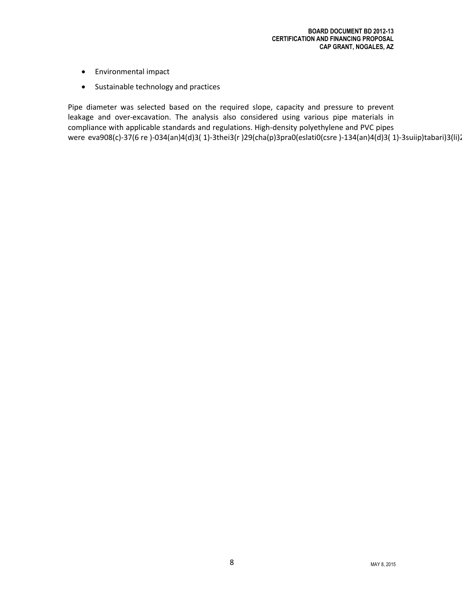- Environmental impact
- Sustainable technology and practices

Pipe diameter was selected based on the required slope, capacity and pressure to prevent leakage and over-excavation. The analysis also considered using various pipe materials in compliance with applicable standards and regulations. High-density polyethylene and PVC pipes were eva908(c)-37(6 re )-034(an)4(d)3( 1)-3thei3(r )29(cha(p)3pra0(eslati0(csre )-134(an)4(d)3( 1)-3suiip)tabari)3(li).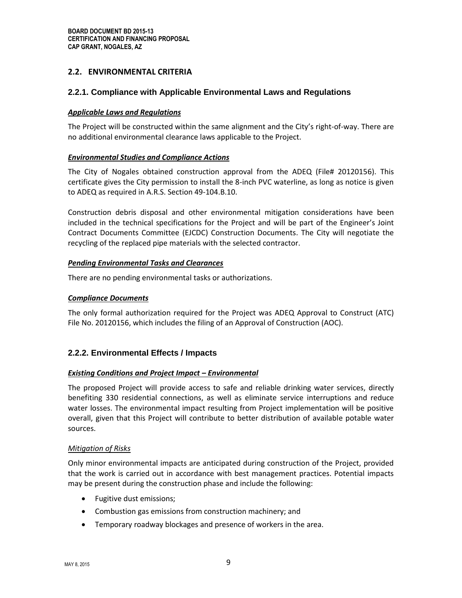#### **2.2. ENVIRONMENTAL CRITERIA**

#### **2.2.1. Compliance with Applicable Environmental Laws and Regulations**

#### *Applicable Laws and Regulations*

The Project will be constructed within the same alignment and the City's right-of-way. There are no additional environmental clearance laws applicable to the Project.

#### *Environmental Studies and Compliance Actions*

The City of Nogales obtained construction approval from the ADEQ (File# 20120156). This certificate gives the City permission to install the 8-inch PVC waterline, as long as notice is given to ADEQ as required in A.R.S. Section 49-104.B.10.

Construction debris disposal and other environmental mitigation considerations have been included in the technical specifications for the Project and will be part of the Engineer's Joint Contract Documents Committee (EJCDC) Construction Documents. The City will negotiate the recycling of the replaced pipe materials with the selected contractor.

#### *Pending Environmental Tasks and Clearances*

There are no pending environmental tasks or authorizations.

#### *Compliance Documents*

The only formal authorization required for the Project was ADEQ Approval to Construct (ATC) File No. 20120156, which includes the filing of an Approval of Construction (AOC).

#### **2.2.2. Environmental Effects / Impacts**

#### *Existing Conditions and Project Impact – Environmental*

The proposed Project will provide access to safe and reliable drinking water services, directly benefiting 330 residential connections, as well as eliminate service interruptions and reduce water losses. The environmental impact resulting from Project implementation will be positive overall, given that this Project will contribute to better distribution of available potable water sources.

#### *Mitigation of Risks*

Only minor environmental impacts are anticipated during construction of the Project, provided that the work is carried out in accordance with best management practices. Potential impacts may be present during the construction phase and include the following:

- Fugitive dust emissions;
- Combustion gas emissions from construction machinery; and
- Temporary roadway blockages and presence of workers in the area.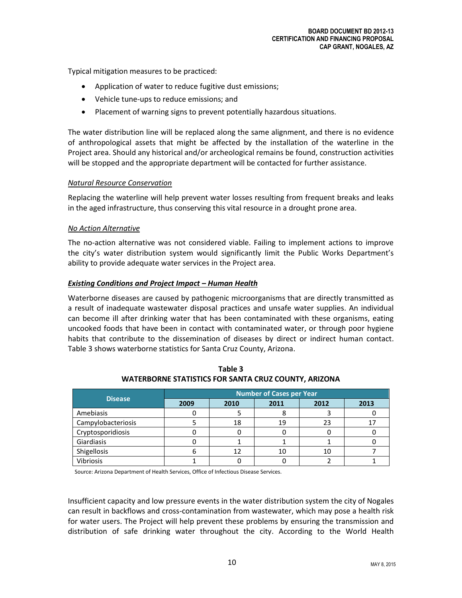Typical mitigation measures to be practiced:

- Application of water to reduce fugitive dust emissions;
- Vehicle tune-ups to reduce emissions; and
- Placement of warning signs to prevent potentially hazardous situations.

The water distribution line will be replaced along the same alignment, and there is no evidence of anthropological assets that might be affected by the installation of the waterline in the Project area. Should any historical and/or archeological remains be found, construction activities will be stopped and the appropriate department will be contacted for further assistance.

#### *Natural Resource Conservation*

Replacing the waterline will help prevent water losses resulting from frequent breaks and leaks in the aged infrastructure, thus conserving this vital resource in a drought prone area.

#### *No Action Alternative*

The no-action alternative was not considered viable. Failing to implement actions to improve the city's water distribution system would significantly limit the Public Works Department's ability to provide adequate water services in the Project area.

#### *Existing Conditions and Project Impact – Human Health*

Waterborne diseases are caused by pathogenic microorganisms that are directly transmitted as a result of inadequate wastewater disposal practices and unsafe water supplies. An individual can become ill after drinking water that has been contaminated with these organisms, eating uncooked foods that have been in contact with contaminated water, or through poor hygiene habits that contribute to the dissemination of diseases by direct or indirect human contact. Table 3 shows waterborne statistics for Santa Cruz County, Arizona.

| <b>Disease</b>     | <b>Number of Cases per Year</b> |      |      |      |      |
|--------------------|---------------------------------|------|------|------|------|
|                    | 2009                            | 2010 | 2011 | 2012 | 2013 |
| Amebiasis          |                                 |      |      |      |      |
| Campylobacteriosis |                                 | 18   | 19   | 23   |      |
| Cryptosporidiosis  |                                 |      |      |      |      |
| Giardiasis         |                                 |      |      |      |      |
| Shigellosis        |                                 |      | 10   | 10   |      |
| <b>Vibriosis</b>   |                                 |      |      |      |      |

**Table 3 WATERBORNE STATISTICS FOR SANTA CRUZ COUNTY, ARIZONA**

Source: Arizona Department of Health Services, Office of Infectious Disease Services.

Insufficient capacity and low pressure events in the water distribution system the city of Nogales can result in backflows and cross-contamination from wastewater, which may pose a health risk for water users. The Project will help prevent these problems by ensuring the transmission and distribution of safe drinking water throughout the city. According to the World Health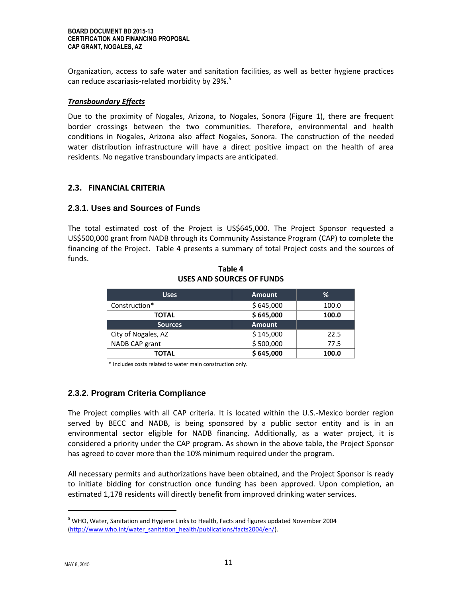Organization, access to safe water and sanitation facilities, as well as better hygiene practices can reduce ascariasis-related morbidity by 29%.<sup>5</sup>

#### *Transboundary Effects*

Due to the proximity of Nogales, Arizona, to Nogales, Sonora (Figure 1), there are frequent border crossings between the two communities. Therefore, environmental and health conditions in Nogales, Arizona also affect Nogales, Sonora. The construction of the needed water distribution infrastructure will have a direct positive impact on the health of area residents. No negative transboundary impacts are anticipated.

#### **2.3. FINANCIAL CRITERIA**

#### **2.3.1. Uses and Sources of Funds**

The total estimated cost of the Project is US\$645,000. The Project Sponsor requested a US\$500,000 grant from NADB through its Community Assistance Program (CAP) to complete the financing of the Project. Table 4 presents a summary of total Project costs and the sources of funds.

| <b>Uses</b>         | <b>Amount</b> | %     |
|---------------------|---------------|-------|
| Construction*       | \$645,000     | 100.0 |
| <b>TOTAL</b>        | \$645,000     | 100.0 |
| <b>Sources</b>      | <b>Amount</b> |       |
| City of Nogales, AZ | \$145,000     | 22.5  |
| NADB CAP grant      | \$500,000     | 77.5  |
| TOTAL               | \$645,000     | 100.0 |

**Table 4 USES AND SOURCES OF FUNDS**

\* Includes costs related to water main construction only.

#### **2.3.2. Program Criteria Compliance**

The Project complies with all CAP criteria. It is located within the U.S.-Mexico border region served by BECC and NADB, is being sponsored by a public sector entity and is in an environmental sector eligible for NADB financing. Additionally, as a water project, it is considered a priority under the CAP program. As shown in the above table, the Project Sponsor has agreed to cover more than the 10% minimum required under the program.

All necessary permits and authorizations have been obtained, and the Project Sponsor is ready to initiate bidding for construction once funding has been approved. Upon completion, an estimated 1,178 residents will directly benefit from improved drinking water services.

 $\overline{\phantom{a}}$ 

<sup>&</sup>lt;sup>5</sup> WHO, Water, Sanitation and Hygiene Links to Health, Facts and figures updated November 2004 [\(http://www.who.int/water\\_sanitation\\_health/publications/facts2004/en/\)](http://www.who.int/water_sanitation_health/publications/facts2004/en/).